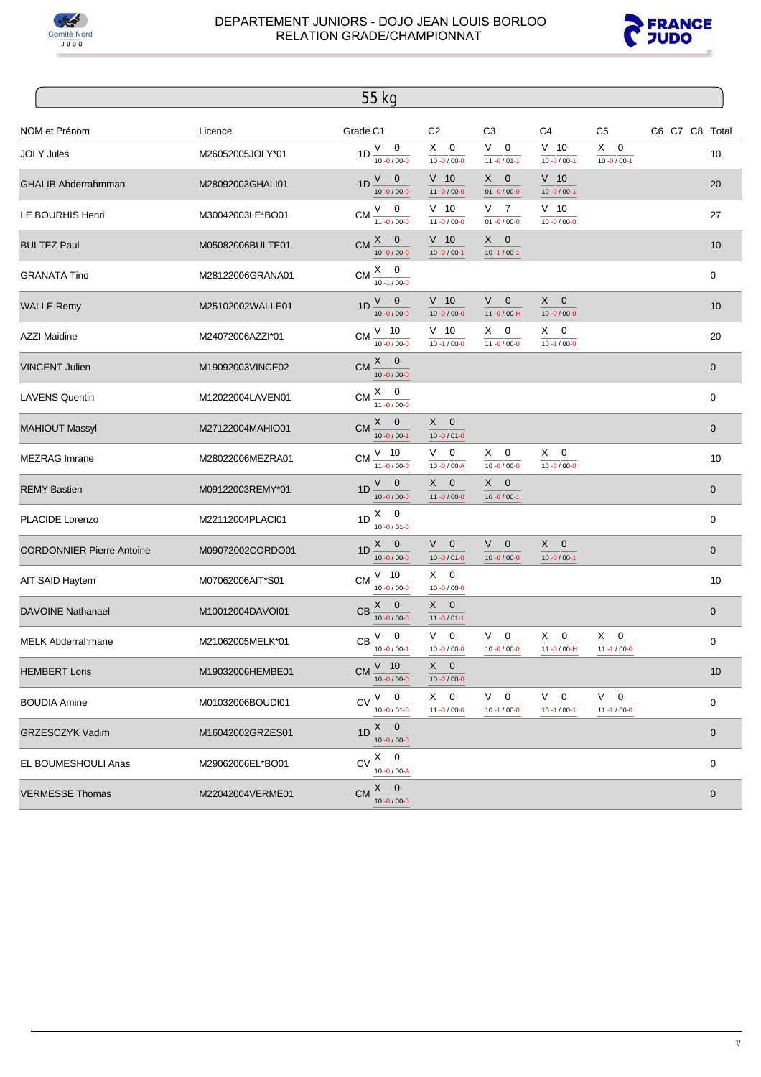



|                                  |                  | 55 kg                                          |                                  |                                           |                                  |                                  |                  |
|----------------------------------|------------------|------------------------------------------------|----------------------------------|-------------------------------------------|----------------------------------|----------------------------------|------------------|
| NOM et Prénom                    | Licence          | Grade C1                                       | C <sub>2</sub>                   | C <sub>3</sub>                            | C4                               | C5                               | C6 C7 C8 Total   |
| <b>JOLY Jules</b>                | M26052005JOLY*01 | $V \quad 0$<br>1D<br>$10 - 0 / 00 - 0$         | $X \quad 0$<br>$10 - 0 / 00 - 0$ | V.<br>$\mathbf 0$<br>$11 - 0 / 01 - 1$    | $V$ 10<br>$10 - 0 / 00 - 1$      | X.<br>0<br>$10 - 0 / 00 - 1$     | 10               |
| <b>GHALIB Abderrahmman</b>       | M28092003GHALI01 | $V$ 0<br>1D<br>$10 - 0 / 00 - 0$               | $V$ 10<br>$11 - 0 / 00 - 0$      | $X -$<br>$\mathbf 0$<br>$01 - 0 / 00 - 0$ | $V$ 10<br>$10 - 0 / 00 - 1$      |                                  | 20               |
| LE BOURHIS Henri                 | M30042003LE*BO01 | $CM \nu 0$<br>$11 - 0 / 00 - 0$                | $V$ 10<br>$11 - 0 / 00 - 0$      | V.<br>7<br>$01 - 0 / 00 - 0$              | $V$ 10<br>$10 - 0 / 00 - 0$      |                                  | 27               |
| <b>BULTEZ Paul</b>               | M05082006BULTE01 | $X \quad 0$<br><b>CM</b><br>$10 - 0 / 00 - 0$  | $V$ 10<br>$10 - 0 / 00 - 1$      | $X \quad 0$<br>$10 - 1 / 00 - 1$          |                                  |                                  | 10               |
| <b>GRANATA Tino</b>              | M28122006GRANA01 | CM $\frac{X}{10.1/000}$                        |                                  |                                           |                                  |                                  | 0                |
| <b>WALLE Remy</b>                | M25102002WALLE01 | $V \quad 0$<br>1D<br>$10 - 0 / 00 - 0$         | $V$ 10<br>$10 - 0 / 00 - 0$      | V -<br>$\mathbf 0$<br>11-0/00-H           | $X \quad 0$<br>$10 - 0 / 00 - 0$ |                                  | 10               |
| <b>AZZI Maidine</b>              | M24072006AZZI*01 | $V$ 10<br><b>CM</b><br>$10 - 0 / 00 - 0$       | $V$ 10<br>$10 - 1 / 00 - 0$      | $X \quad 0$<br>$11 - 0 / 00 - 0$          | $X \quad 0$<br>$10 - 1 / 00 - 0$ |                                  | 20               |
| <b>VINCENT Julien</b>            | M19092003VINCE02 | CM $\frac{X}{10.0}$ 0                          |                                  |                                           |                                  |                                  | $\boldsymbol{0}$ |
| <b>LAVENS Quentin</b>            | M12022004LAVEN01 | $CM \frac{X}{11 - 0/00 - 0}$                   |                                  |                                           |                                  |                                  | 0                |
| <b>MAHIOUT Massyl</b>            | M27122004MAHIO01 | $\underline{X}$ 0<br>CM<br>$10 - 0 / 00 - 1$   | $X \quad 0$<br>$10 - 0 / 01 - 0$ |                                           |                                  |                                  | $\pmb{0}$        |
| <b>MEZRAG</b> Imrane             | M28022006MEZRA01 | $V$ 10<br>CM<br>$11 - 0 / 00 - 0$              | V<br>0<br>$10 - 0 / 00 - A$      | $X \quad 0$<br>$10 - 0 / 00 - 0$          | $X \quad 0$<br>$10 - 0 / 00 - 0$ |                                  | 10               |
| <b>REMY Bastien</b>              | M09122003REMY*01 | $V$ 0<br>1D<br>$10 - 0 / 00 - 0$               | $X \quad 0$<br>$11 - 0 / 00 - 0$ | $X -$<br>$\mathbf 0$<br>$10 - 0 / 00 - 1$ |                                  |                                  | $\boldsymbol{0}$ |
| PLACIDE Lorenzo                  | M22112004PLACI01 | 1D $\frac{X}{10-0/01-0}$                       |                                  |                                           |                                  |                                  | 0                |
| <b>CORDONNIER Pierre Antoine</b> | M09072002CORDO01 | $\underline{X}$ 0<br>1D<br>$10 - 0 / 00 - 0$   | $V \quad 0$<br>$10 - 0 / 01 - 0$ | V -<br>$\mathbf 0$<br>$10 - 0 / 00 - 0$   | $X \quad 0$<br>$10 - 0 / 00 - 1$ |                                  | $\boldsymbol{0}$ |
| AIT SAID Haytem                  | M07062006AIT*S01 | $V$ 10<br>СM<br>$10 - 0 / 00 - 0$              | $X \quad 0$<br>$10 - 0 / 00 - 0$ |                                           |                                  |                                  | 10               |
| <b>DAVOINE Nathanael</b>         | M10012004DAVOI01 | $\frac{X}{10 - 0.000}$<br>CB                   | $X \quad 0$<br>$11 - 0 / 01 - 1$ |                                           |                                  |                                  | 0                |
| <b>MELK Abderrahmane</b>         | M21062005MELK*01 | 0<br>V<br><b>CB</b><br>$10 - 0 / 00 - 1$       | V.<br>0<br>$10 - 0 / 00 - 0$     | 0<br>V.<br>$10 - 0 / 00 - 0$              | X.<br>0<br>11-0/00-H             | X.<br>0<br>$11 - 1 / 00 - 0$     | $\pmb{0}$        |
| <b>HEMBERT Loris</b>             | M19032006HEMBE01 | $V$ 10<br>$CM \frac{1}{10.0000}$               | $X \quad 0$<br>$10 - 0 / 00 - 0$ |                                           |                                  |                                  | 10               |
| <b>BOUDIA Amine</b>              | M01032006BOUDI01 | $V$ 0<br>CV<br>$10 - 0 / 01 - 0$               | $X \quad 0$<br>$11 - 0 / 00 - 0$ | $V \quad 0$<br>$10 - 1 / 00 - 0$          | $V \quad 0$<br>$10 - 1 / 00 - 1$ | $V \quad 0$<br>$11 - 1 / 00 - 0$ | $\pmb{0}$        |
| GRZESCZYK Vadim                  | M16042002GRZES01 | $X \qquad 0$<br>1D<br>$10 - 0 / 00 - 0$        |                                  |                                           |                                  |                                  | $\pmb{0}$        |
| EL BOUMESHOULI Anas              | M29062006EL*BO01 | $X \quad 0$<br><b>CV</b><br>$10 - 0 / 00 - A$  |                                  |                                           |                                  |                                  | $\pmb{0}$        |
| <b>VERMESSE Thomas</b>           | M22042004VERME01 | $X \qquad 0$<br><b>CM</b><br>$10 - 0 / 00 - 0$ |                                  |                                           |                                  |                                  | 0                |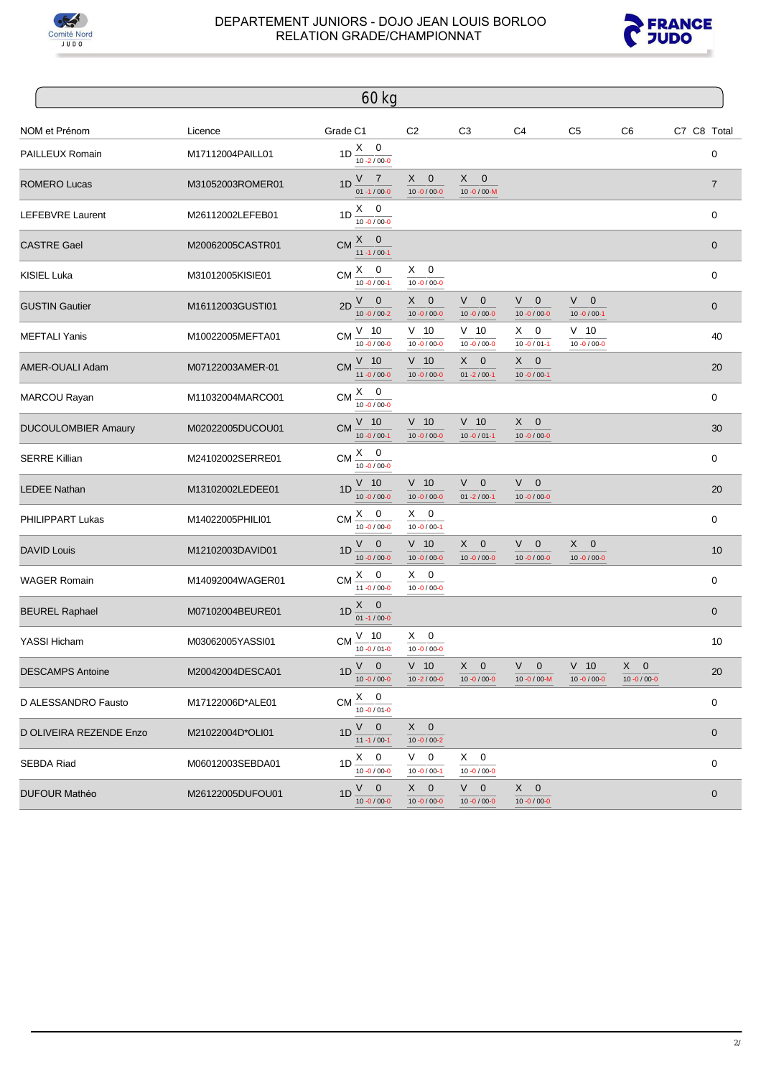



|                            |                  | 60 kg                                          |                                           |                                        |                                         |                                  |                                  |                |
|----------------------------|------------------|------------------------------------------------|-------------------------------------------|----------------------------------------|-----------------------------------------|----------------------------------|----------------------------------|----------------|
| NOM et Prénom              | Licence          | Grade C1                                       | C <sub>2</sub>                            | C <sub>3</sub>                         | C <sub>4</sub>                          | C <sub>5</sub>                   | C <sub>6</sub>                   | C7 C8 Total    |
| PAILLEUX Romain            | M17112004PAILL01 | $1D \frac{X}{10.2/00-0}$                       |                                           |                                        |                                         |                                  |                                  | $\pmb{0}$      |
| <b>ROMERO Lucas</b>        | M31052003ROMER01 | V <sub>7</sub><br>1D<br>$01 - 1 / 00 - 0$      | $X -$<br>$\mathbf 0$<br>$10 - 0 / 00 - 0$ | $X -$<br>$\mathbf 0$<br>10-0/00-M      |                                         |                                  |                                  | $\overline{7}$ |
| LEFEBVRE Laurent           | M26112002LEFEB01 | $1D \frac{X}{10.010000}$                       |                                           |                                        |                                         |                                  |                                  | $\mathbf 0$    |
| <b>CASTRE Gael</b>         | M20062005CASTR01 | $X \qquad 0$<br><b>CM</b><br>$11 - 1 / 00 - 1$ |                                           |                                        |                                         |                                  |                                  | $\mathbf 0$    |
| KISIEL Luka                | M31012005KISIE01 | CM $\frac{X}{10.0}$ / 00-1                     | $X \quad 0$<br>$10 - 0 / 00 - 0$          |                                        |                                         |                                  |                                  | $\pmb{0}$      |
| <b>GUSTIN Gautier</b>      | M16112003GUSTI01 | $V \quad 0$<br>2D<br>$10 - 0 / 00 - 2$         | $\mathbf 0$<br>X,<br>$10 - 0 / 00 - 0$    | $V \quad 0$<br>$10 - 0 / 00 - 0$       | $\mathbf 0$<br>V —<br>$10 - 0 / 00 - 0$ | $V \quad 0$<br>$10 - 0 / 00 - 1$ |                                  | $\pmb{0}$      |
| <b>MEFTALI Yanis</b>       | M10022005MEFTA01 | $CM \frac{V}{10}$<br>$10 - 0 / 00 - 0$         | $V$ 10<br>$10 - 0 / 00 - 0$               | $V$ 10<br>$10 - 0 / 00 - 0$            | $\mathbf 0$<br>X,<br>$10 - 0 / 01 - 1$  | $V$ 10<br>$10 - 0 / 00 - 0$      |                                  | 40             |
| AMER-OUALI Adam            | M07122003AMER-01 | $V$ 10<br><b>CM</b><br>$11 - 0 / 00 - 0$       | $V$ 10<br>$10 - 0 / 00 - 0$               | $X \quad 0$<br>$01 - 2 / 00 - 1$       | X<br>$\mathbf 0$<br>$10 - 0 / 00 - 1$   |                                  |                                  | 20             |
| MARCOU Rayan               | M11032004MARCO01 | $CM \frac{X}{10 - 0/00 - 0}$                   |                                           |                                        |                                         |                                  |                                  | $\mathbf 0$    |
| <b>DUCOULOMBIER Amaury</b> | M02022005DUCOU01 | $V$ 10<br>CM<br>$10 - 0 / 00 - 1$              | $V$ 10<br>$10 - 0 / 00 - 0$               | $V$ 10<br>$10 - 0 / 01 - 1$            | X<br>$\mathbf 0$<br>$10 - 0 / 00 - 0$   |                                  |                                  | 30             |
| <b>SERRE Killian</b>       | M24102002SERRE01 | CM $\frac{X}{10 - 0/00 - 0}$                   |                                           |                                        |                                         |                                  |                                  | $\mathbf 0$    |
| <b>LEDEE Nathan</b>        | M13102002LEDEE01 | $V$ 10<br>1D<br>$10 - 0 / 00 - 0$              | $V$ 10<br>$10 - 0 / 00 - 0$               | V.<br>$\mathbf 0$<br>$01 - 2 / 00 - 1$ | V<br>$\mathbf 0$<br>$10 - 0 / 00 - 0$   |                                  |                                  | 20             |
| PHILIPPART Lukas           | M14022005PHILI01 | $\frac{X}{10}$ -0 / 00-0<br>CM                 | $X \quad 0$<br>$10 - 0 / 00 - 1$          |                                        |                                         |                                  |                                  | $\pmb{0}$      |
| <b>DAVID Louis</b>         | M12102003DAVID01 | $V$ 0<br>1D<br>$10 - 0 / 00 - 0$               | $V$ 10<br>$10 - 0 / 00 - 0$               | $X \quad 0$<br>$10 - 0 / 00 - 0$       | V<br>$\mathbf 0$<br>$10 - 0 / 00 - 0$   | $X \quad 0$<br>$10 - 0 / 00 - 0$ |                                  | 10             |
| <b>WAGER Romain</b>        | M14092004WAGER01 | CM $\frac{X}{11}$ -0/00-0                      | $X \quad 0$<br>$10 - 0 / 00 - 0$          |                                        |                                         |                                  |                                  | $\pmb{0}$      |
| <b>BEUREL Raphael</b>      | M07102004BEURE01 | $\frac{X}{01}$ -1/00-0<br>1D                   |                                           |                                        |                                         |                                  |                                  | $\pmb{0}$      |
| YASSI Hicham               | M03062005YASSI01 | $V$ 10<br><b>CM</b><br>$10 - 0 / 01 - 0$       | $X \quad 0$<br>$10 - 0 / 00 - 0$          |                                        |                                         |                                  |                                  | 10             |
| <b>DESCAMPS Antoine</b>    | M20042004DESCA01 | $V \quad 0$<br>$1D \frac{1}{10.00000}$         | $V$ 10<br>$10 - 2 / 00 - 0$               | $X \quad 0$<br>$10 - 0 / 00 - 0$       | $V$ 0<br>$10 - 0 / 00 - M$              | $V$ 10<br>$10 - 0 / 00 - 0$      | $X \quad 0$<br>$10 - 0 / 00 - 0$ | 20             |
| D ALESSANDRO Fausto        | M17122006D*ALE01 | $X \quad 0$<br><b>CM</b><br>$10 - 0 / 01 - 0$  |                                           |                                        |                                         |                                  |                                  | $\pmb{0}$      |
| D OLIVEIRA REZENDE Enzo    | M21022004D*OLI01 | $V$ 0<br>1D<br>$11 - 1 / 00 - 1$               | $X \quad 0$<br>$10 - 0 / 00 - 2$          |                                        |                                         |                                  |                                  | $\mathbf 0$    |
| <b>SEBDA Riad</b>          | M06012003SEBDA01 | $X \quad 0$<br>1D<br>$10 - 0 / 00 - 0$         | $V \quad 0$<br>$10 - 0 / 00 - 1$          | $X \quad 0$<br>$10 - 0 / 00 - 0$       |                                         |                                  |                                  | $\mathbf 0$    |
| <b>DUFOUR Mathéo</b>       | M26122005DUFOU01 | $V \quad 0$<br>1D<br>$10 - 0 / 00 - 0$         | $X \quad 0$<br>$10 - 0 / 00 - 0$          | $V \quad 0$<br>$10 - 0 / 00 - 0$       | $X \quad 0$<br>$10 - 0 / 00 - 0$        |                                  |                                  | $\mathbf 0$    |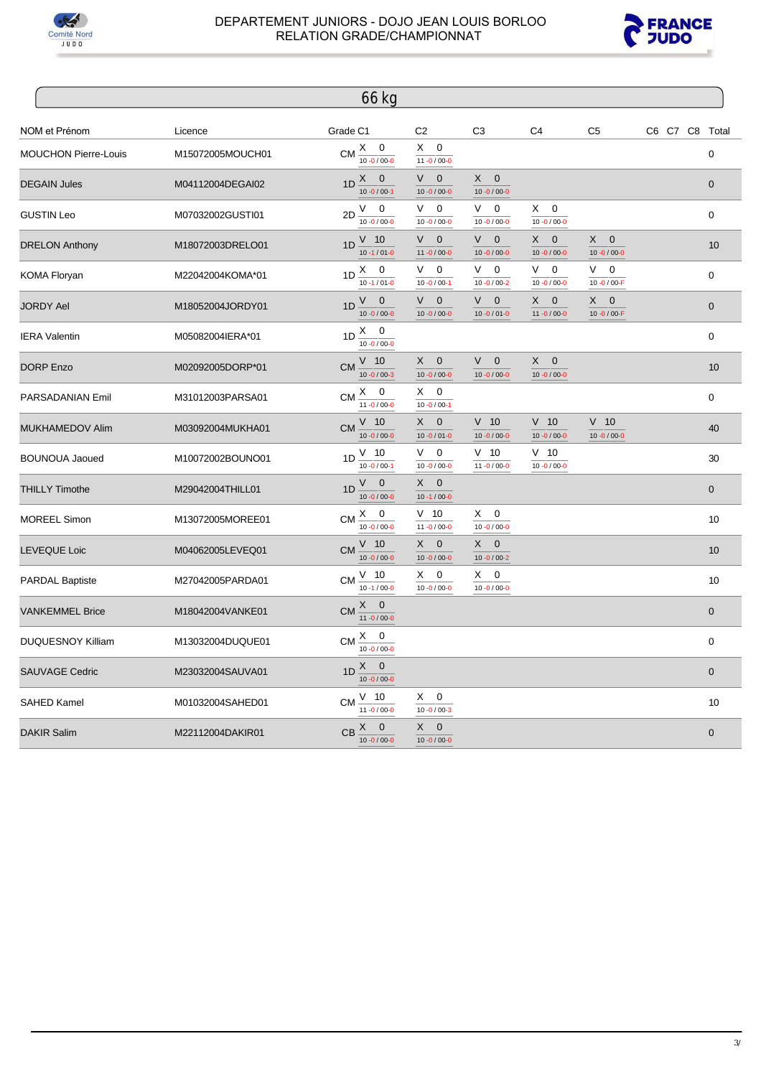



|                             |                  | 66 kg                                                       |                                        |                                           |                                        |                                                  |                |                  |
|-----------------------------|------------------|-------------------------------------------------------------|----------------------------------------|-------------------------------------------|----------------------------------------|--------------------------------------------------|----------------|------------------|
| NOM et Prénom               | Licence          | Grade C1                                                    | C <sub>2</sub>                         | C <sub>3</sub>                            | C <sub>4</sub>                         | C <sub>5</sub>                                   | C6 C7 C8 Total |                  |
| <b>MOUCHON Pierre-Louis</b> | M15072005MOUCH01 | CM $\frac{X}{10.0}$ / 00-0                                  | $X \quad 0$<br>$11 - 0 / 00 - 0$       |                                           |                                        |                                                  |                | $\mathbf 0$      |
| <b>DEGAIN Jules</b>         | M04112004DEGAI02 | 1D $\frac{X}{10-0/00-1}$                                    | V<br>$\mathbf 0$<br>$10 - 0 / 00 - 0$  | $X \quad 0$<br>$10 - 0 / 00 - 0$          |                                        |                                                  |                | $\mathbf 0$      |
| <b>GUSTIN Leo</b>           | M07032002GUSTI01 | $2D \stackrel{V}{\underline{\quad}} 0$<br>$10 - 0 / 00 - 0$ | V.<br>0<br>$10 - 0 / 00 - 0$           | V.<br>$\overline{0}$<br>$10 - 0 / 00 - 0$ | $X \quad 0$<br>$10 - 0 / 00 - 0$       |                                                  |                | $\mathbf 0$      |
| <b>DRELON Anthony</b>       | M18072003DRELO01 | $V$ 10<br>1D<br>$10 - 1 / 01 - 0$                           | V<br>$\mathbf 0$<br>$11 - 0 / 00 - 0$  | V.<br>$\mathbf 0$<br>$10 - 0 / 00 - 0$    | X.<br>$\mathbf 0$<br>$10 - 0 / 00 - 0$ | $\mathsf{X}$<br>$\mathbf 0$<br>$10 - 0 / 00 - 0$ |                | 10               |
| <b>KOMA Floryan</b>         | M22042004KOMA*01 | 1D $\frac{X}{10-1/01-0}$                                    | V.<br>0<br>$10 - 0 / 00 - 1$           | V.<br>$\overline{0}$<br>$10 - 0 / 00 - 2$ | V.<br>0<br>$10 - 0 / 00 - 0$           | V —<br>$\mathbf 0$<br>10-0/00-F                  |                | $\boldsymbol{0}$ |
| <b>JORDY Ael</b>            | M18052004JORDY01 | V -<br>$\mathbf 0$<br>1D<br>$10 - 0 / 00 - 0$               | V<br>$\mathbf 0$<br>$10 - 0 / 00 - 0$  | V<br>$\mathbf 0$<br>$10 - 0 / 01 - 0$     | X<br>$\mathbf 0$<br>$11 - 0 / 00 - 0$  | X.<br>$\mathbf 0$<br>10-0/00-F                   |                | $\mathbf 0$      |
| <b>IERA Valentin</b>        | M05082004IERA*01 | $1D \stackrel{\text{X}}{=} 0$<br>$10 - 0 / 00 - 0$          |                                        |                                           |                                        |                                                  |                | $\mathbf 0$      |
| <b>DORP Enzo</b>            | M02092005DORP*01 | $V$ 10<br><b>CM</b><br>$10 - 0 / 00 - 3$                    | X.<br>$\mathbf 0$<br>$10 - 0 / 00 - 0$ | V<br>$\mathbf 0$<br>$10 - 0 / 00 - 0$     | X<br>$\mathbf{0}$<br>$10 - 0 / 00 - 0$ |                                                  |                | 10               |
| <b>PARSADANIAN Emil</b>     | M31012003PARSA01 | CM $\frac{X}{11 - 0/00 - 0}$                                | $X \quad 0$<br>$10 - 0 / 00 - 1$       |                                           |                                        |                                                  |                | $\Omega$         |
| <b>MUKHAMEDOV Alim</b>      | M03092004MUKHA01 | $V$ 10<br><b>CM</b><br>$10 - 0 / 00 - 0$                    | $X \quad 0$<br>$10 - 0 / 01 - 0$       | $V$ 10<br>$10 - 0 / 00 - 0$               | $V$ 10<br>$10 - 0 / 00 - 0$            | $V$ 10<br>$10 - 0 / 00 - 0$                      |                | 40               |
| <b>BOUNOUA Jaoued</b>       | M10072002BOUNO01 | $V$ 10<br>1D<br>$10 - 0 / 00 - 1$                           | V.<br>0<br>$10 - 0 / 00 - 0$           | $V$ 10<br>$11 - 0 / 00 - 0$               | $V$ 10<br>$10 - 0 / 00 - 0$            |                                                  |                | 30               |
| <b>THILLY Timothe</b>       | M29042004THILL01 | V<br>$\mathbf 0$<br>1D<br>$10 - 0 / 00 - 0$                 | $X \quad 0$<br>$10 - 1 / 00 - 0$       |                                           |                                        |                                                  |                | $\mathbf{0}$     |
| <b>MOREEL Simon</b>         | M13072005MOREE01 | $CM \xrightarrow{X} 0$<br>$10 - 0 / 00 - 0$                 | $V$ 10<br>$11 - 0 / 00 - 0$            | $X \quad 0$<br>$10 - 0 / 00 - 0$          |                                        |                                                  |                | 10               |
| <b>LEVEQUE Loic</b>         | M04062005LEVEQ01 | $V$ 10<br><b>CM</b><br>$10 - 0 / 00 - 0$                    | $X \quad 0$<br>$10 - 0 / 00 - 0$       | $X \quad 0$<br>$10 - 0 / 00 - 2$          |                                        |                                                  |                | 10               |
| <b>PARDAL Baptiste</b>      | M27042005PARDA01 | $V$ 10<br><b>CM</b><br>$10 - 1 / 00 - 0$                    | $X \quad 0$<br>$10 - 0 / 00 - 0$       | $X \quad 0$<br>$10 - 0 / 00 - 0$          |                                        |                                                  |                | 10               |
| <b>VANKEMMEL Brice</b>      | M18042004VANKE01 | $X \quad 0$<br><b>CM</b><br>$\frac{11 - 0}{10000}$          |                                        |                                           |                                        |                                                  |                | $\mathbf{0}$     |
| <b>DUQUESNOY Killiam</b>    | M13032004DUQUE01 | $CM \overset{X}{-}$<br>$\mathbf 0$<br>$10 - 0 / 00 - 0$     |                                        |                                           |                                        |                                                  |                | $\mathbf 0$      |
| <b>SAUVAGE Cedric</b>       | M23032004SAUVA01 | $1D \stackrel{X}{\phantom{0}} 0$<br>$10 - 0 / 00 - 0$       |                                        |                                           |                                        |                                                  |                | $\mathbf{0}$     |
| <b>SAHED Kamel</b>          | M01032004SAHED01 | $V$ 10<br><b>CM</b><br>$11 - 0 / 00 - 0$                    | $\mathbf 0$<br>X.<br>$10 - 0 / 00 - 3$ |                                           |                                        |                                                  |                | 10               |
| <b>DAKIR Salim</b>          | M22112004DAKIR01 | $CB \frac{X}{10.010000}$                                    | $X \quad 0$<br>$10 - 0 / 00 - 0$       |                                           |                                        |                                                  |                | $\mathbf 0$      |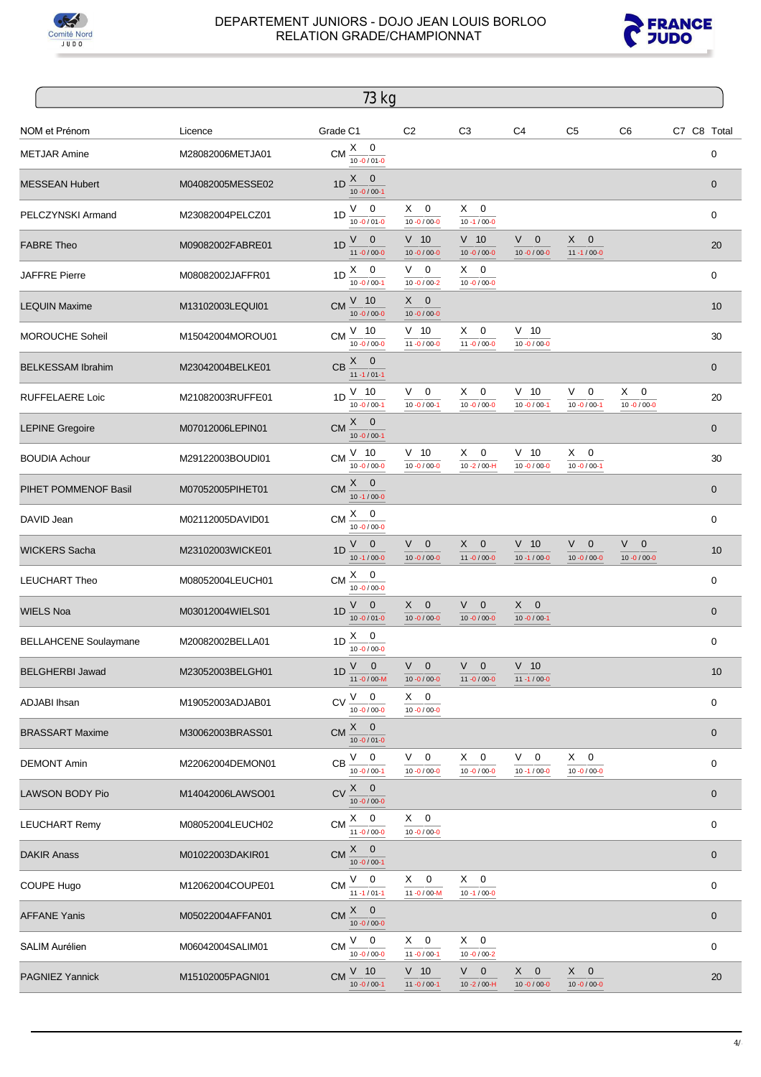



|                              |                  | 73 kg                                                          |                                  |                                           |                                           |                                        |                                        |             |             |
|------------------------------|------------------|----------------------------------------------------------------|----------------------------------|-------------------------------------------|-------------------------------------------|----------------------------------------|----------------------------------------|-------------|-------------|
| NOM et Prénom                | Licence          | Grade C1                                                       | C <sub>2</sub>                   | C <sub>3</sub>                            | C <sub>4</sub>                            | C <sub>5</sub>                         | C <sub>6</sub>                         | C7 C8 Total |             |
| <b>METJAR Amine</b>          | M28082006METJA01 | $X \quad 0$<br><b>CM</b><br>$10 - 0 / 01 - 0$                  |                                  |                                           |                                           |                                        |                                        |             | 0           |
| <b>MESSEAN Hubert</b>        | M04082005MESSE02 | X<br>$\mathbf 0$<br>1D<br>$10 - 0 / 00 - 1$                    |                                  |                                           |                                           |                                        |                                        |             | $\mathbf 0$ |
| PELCZYNSKI Armand            | M23082004PELCZ01 | V —<br>0<br>1D<br>$10 - 0 / 01 - 0$                            | $X \quad 0$<br>$10 - 0 / 00 - 0$ | $X \quad 0$<br>$10 - 1 / 00 - 0$          |                                           |                                        |                                        |             | 0           |
| <b>FABRE Theo</b>            | M09082002FABRE01 | V<br>$\mathbf 0$<br>1D<br>$11 - 0 / 00 - 0$                    | $V$ 10<br>$10 - 0 / 00 - 0$      | $V$ 10<br>$10 - 0 / 00 - 0$               | V<br>$\mathbf 0$<br>$10 - 0 / 00 - 0$     | $X \quad 0$<br>$11 - 1 / 00 - 0$       |                                        |             | 20          |
| <b>JAFFRE Pierre</b>         | M08082002JAFFR01 | $1D \stackrel{X}{-} 0$<br>$10 - 0 / 00 - 1$                    | $V \quad 0$<br>$10 - 0 / 00 - 2$ | $X \quad 0$<br>$10 - 0 / 00 - 0$          |                                           |                                        |                                        |             | 0           |
| <b>LEQUIN Maxime</b>         | M13102003LEQUI01 | $V$ 10<br><b>CM</b><br>$10 - 0 / 00 - 0$                       | $X \quad 0$<br>$10 - 0 / 00 - 0$ |                                           |                                           |                                        |                                        |             | 10          |
| <b>MOROUCHE Soheil</b>       | M15042004MOROU01 | $V$ 10<br><b>CM</b><br>$10 - 0 / 00 - 0$                       | $V$ 10<br>$11 - 0 / 00 - 0$      | $X \quad 0$<br>$11 - 0 / 00 - 0$          | $V$ 10<br>$10 - 0 / 00 - 0$               |                                        |                                        |             | 30          |
| <b>BELKESSAM Ibrahim</b>     | M23042004BELKE01 | X.<br>$\mathbf{0}$<br>CB<br>$11 - 1 / 01 - 1$                  |                                  |                                           |                                           |                                        |                                        |             | $\pmb{0}$   |
| <b>RUFFELAERE Loic</b>       | M21082003RUFFE01 | $V$ 10<br>1D<br>$10 - 0 / 00 - 1$                              | $V \quad 0$<br>$10 - 0 / 00 - 1$ | $X \quad 0$<br>$10 - 0 / 00 - 0$          | $V$ 10<br>$10 - 0 / 00 - 1$               | V.<br>0<br>$10 - 0 / 00 - 1$           | X.<br>0<br>$10 - 0 / 00 - 0$           |             | 20          |
| <b>LEPINE Gregoire</b>       | M07012006LEPIN01 | $X -$<br>$\overline{0}$<br><b>CM</b><br>$10 - 0 / 00 - 1$      |                                  |                                           |                                           |                                        |                                        |             | $\pmb{0}$   |
| <b>BOUDIA Achour</b>         | M29122003BOUDI01 | $V$ 10<br><b>CM</b><br>$10 - 0 / 00 - 0$                       | $V$ 10<br>$10 - 0 / 00 - 0$      | X<br>0<br>$10 - 2 / 00 - H$               | $V$ 10<br>$10 - 0 / 00 - 0$               | X.<br>0<br>$10 - 0 / 00 - 1$           |                                        |             | 30          |
| PIHET POMMENOF Basil         | M07052005PIHET01 | X.<br>$\mathbf 0$<br><b>CM</b><br>$10 - 1 / 00 - 0$            |                                  |                                           |                                           |                                        |                                        |             | $\pmb{0}$   |
| DAVID Jean                   | M02112005DAVID01 | X.<br>0<br>CM<br>$10 - 0 / 00 - 0$                             |                                  |                                           |                                           |                                        |                                        |             | 0           |
| <b>WICKERS Sacha</b>         | M23102003WICKE01 | V<br>$\mathbf 0$<br>1D<br>$10 - 1 / 00 - 0$                    | $V$ 0<br>$10 - 0 / 00 - 0$       | $X \quad 0$<br>$11 - 0 / 00 - 0$          | $V$ 10<br>$10 - 1 / 00 - 0$               | V.<br>$\mathbf 0$<br>$10 - 0 / 00 - 0$ | V.<br>$\mathbf 0$<br>$10 - 0 / 00 - 0$ |             | 10          |
| <b>LEUCHART Theo</b>         | M08052004LEUCH01 | $X \quad 0$<br><b>CM</b><br>$10 - 0/00 - 0$                    |                                  |                                           |                                           |                                        |                                        |             | 0           |
| <b>WIELS Noa</b>             | M03012004WIELS01 | V<br>$\mathbf 0$<br>1D<br>$10 - 0 / 01 - 0$                    | $X \quad 0$<br>$10 - 0 / 00 - 0$ | V.<br>$\overline{0}$<br>$10 - 0 / 00 - 0$ | X<br>$\mathbf 0$<br>$10 - 0 / 00 - 1$     |                                        |                                        |             | $\pmb{0}$   |
| <b>BELLAHCENE Soulaymane</b> | M20082002BELLA01 | $X \quad 0$<br>1D<br>$10 - 0 / 00 - 0$                         |                                  |                                           |                                           |                                        |                                        |             | 0           |
| <b>BELGHERBI Jawad</b>       | M23052003BELGH01 | ${\sf V} = {\sf 0}$<br>1D<br>11 $-0/00-M$                      | $V$ 0<br>$10 - 0 / 00 - 0$       | $V$ 0<br>$11 - 0 / 00 - 0$                | $V$ 10<br>$11 - 1 / 00 - 0$               |                                        |                                        |             | 10          |
| <b>ADJABI</b> Ihsan          | M19052003ADJAB01 | $V$ 0<br><b>CV</b><br>$10 - 0 / 00 - 0$                        | $X \quad 0$<br>$10 - 0 / 00 - 0$ |                                           |                                           |                                        |                                        |             | 0           |
| <b>BRASSART Maxime</b>       | M30062003BRASS01 | $X \quad 0$<br><b>CM</b><br>$10 - 0 / 01 - 0$                  |                                  |                                           |                                           |                                        |                                        |             | $\mathbf 0$ |
| <b>DEMONT Amin</b>           | M22062004DEMON01 | $V$ 0<br><b>CB</b><br>$10 - 0 / 00 - 1$                        | $V \quad 0$<br>$10 - 0 / 00 - 0$ | $X \quad 0$<br>$10 - 0 / 00 - 0$          | V.<br>0<br>$10 - 1 / 00 - 0$              | $X \quad 0$<br>$10 - 0 / 00 - 0$       |                                        |             | 0           |
| LAWSON BODY Pio              | M14042006LAWSO01 | $\underline{X}$ 0<br>C <sub>N</sub><br>$10 - 0 / 00 - 0$       |                                  |                                           |                                           |                                        |                                        |             | $\mathbf 0$ |
| <b>LEUCHART Remy</b>         | M08052004LEUCH02 | $X \quad 0$<br><b>CM</b><br>$11 - 0/00 - 0$                    | $X \quad 0$<br>$10 - 0 / 00 - 0$ |                                           |                                           |                                        |                                        |             | 0           |
| <b>DAKIR Anass</b>           | M01022003DAKIR01 | $X \quad 0$<br><b>CM</b><br>$10 - 0 / 00 - 1$                  |                                  |                                           |                                           |                                        |                                        |             | 0           |
| COUPE Hugo                   | M12062004COUPE01 | V<br>$\overline{\mathbf{0}}$<br><b>CM</b><br>$11 - 1 / 01 - 1$ | 0<br>X.<br>11-0/00-M             | $X \quad 0$<br>$10 - 1 / 00 - 0$          |                                           |                                        |                                        |             | 0           |
| <b>AFFANE Yanis</b>          | M05022004AFFAN01 | $X \quad 0$<br><b>CM</b><br>$10 - 0 / 00 - 0$                  |                                  |                                           |                                           |                                        |                                        |             | $\mathbf 0$ |
| <b>SALIM Aurélien</b>        | M06042004SALIM01 | V<br>$\mathbf 0$<br><b>CM</b><br>$10 - 0 / 00 - 0$             | $X \quad 0$<br>$11 - 0 / 00 - 1$ | $X \quad 0$<br>$10 - 0 / 00 - 2$          |                                           |                                        |                                        |             | 0           |
| <b>PAGNIEZ Yannick</b>       | M15102005PAGNI01 | $V$ 10<br><b>CM</b><br>$10 - 0 / 00 - 1$                       | $V$ 10<br>$11 - 0 / 00 - 1$      | $V$ 0<br>$10 - 2 / 00 - H$                | $X -$<br>$\mathbf 0$<br>$10 - 0 / 00 - 0$ | $X \quad 0$<br>$10 - 0 / 00 - 0$       |                                        |             | 20          |
|                              |                  |                                                                |                                  |                                           |                                           |                                        |                                        |             |             |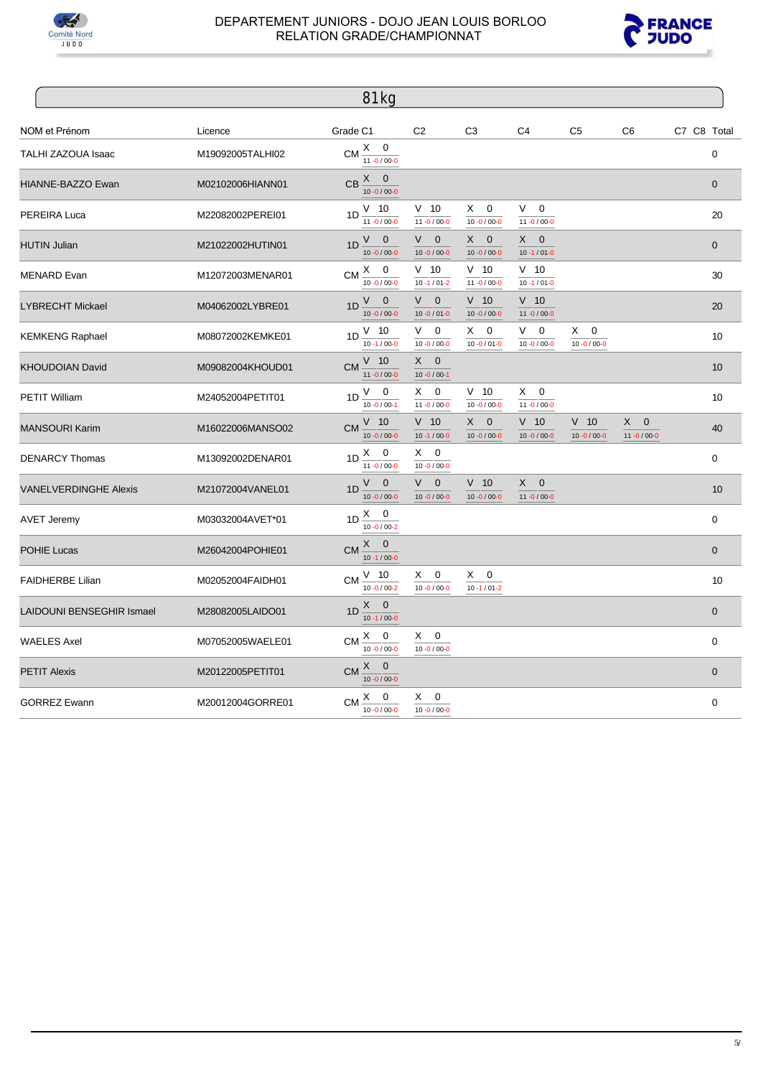



|                                  |                  | 81 kg                                         |                                         |                                        |                                           |                                        |                                       |             |              |
|----------------------------------|------------------|-----------------------------------------------|-----------------------------------------|----------------------------------------|-------------------------------------------|----------------------------------------|---------------------------------------|-------------|--------------|
| NOM et Prénom                    | Licence          | Grade C1                                      | C <sub>2</sub>                          | C <sub>3</sub>                         | C <sub>4</sub>                            | C <sub>5</sub>                         | C <sub>6</sub>                        | C7 C8 Total |              |
| TALHI ZAZOUA Isaac               | M19092005TALHI02 | CM $\frac{X}{11 - 0/00 - 0}$                  |                                         |                                        |                                           |                                        |                                       |             | $\mathbf 0$  |
| HIANNE-BAZZO Ewan                | M02102006HIANN01 | $CB \frac{X}{10.010000}$                      |                                         |                                        |                                           |                                        |                                       |             | $\mathbf{0}$ |
| PEREIRA Luca                     | M22082002PEREI01 | $V$ 10<br>1 <sub>D</sub><br>$11 - 0 / 00 - 0$ | $V$ 10<br>$11 - 0 / 00 - 0$             | X.<br>$\mathbf 0$<br>$10 - 0 / 00 - 0$ | V –<br>$\mathbf 0$<br>$11 - 0 / 00 - 0$   |                                        |                                       |             | 20           |
| <b>HUTIN Julian</b>              | M21022002HUTIN01 | $V \quad 0$<br>1D<br>$10 - 0 / 00 - 0$        | $\mathbf 0$<br>V.<br>$10 - 0 / 00 - 0$  | $X \quad 0$<br>$10 - 0 / 00 - 0$       | $X -$<br>$\mathbf 0$<br>$10 - 1 / 01 - 0$ |                                        |                                       |             | $\mathbf{0}$ |
| <b>MENARD</b> Evan               | M12072003MENAR01 | CM $\frac{X}{10.0}$ / 00-0                    | $V$ 10<br>$10 - 1 / 01 - 2$             | $V$ 10<br>$11 - 0 / 00 - 0$            | $V$ 10<br>$10 - 1 / 01 - 0$               |                                        |                                       |             | 30           |
| <b>LYBRECHT Mickael</b>          | M04062002LYBRE01 | $V \quad 0$<br>1D<br>$10 - 0 / 00 - 0$        | $\mathbf{0}$<br>V.<br>$10 - 0 / 01 - 0$ | $V$ 10<br>$10 - 0 / 00 - 0$            | $V$ 10<br>$11 - 0 / 00 - 0$               |                                        |                                       |             | 20           |
| <b>KEMKENG Raphael</b>           | M08072002KEMKE01 | 1D $\frac{V}{10}$ -1/00-0                     | V<br>$\mathbf 0$<br>$10 - 0 / 00 - 0$   | $\mathbf 0$<br>X.<br>$10 - 0 / 01 - 0$ | V<br>$\mathbf 0$<br>$10 - 0 / 00 - 0$     | X.<br>$\mathbf 0$<br>$10 - 0 / 00 - 0$ |                                       |             | 10           |
| <b>KHOUDOIAN David</b>           | M09082004KHOUD01 | $\frac{V}{11}$ -0/00-0<br>CM                  | $X \quad 0$<br>$10 - 0 / 00 - 1$        |                                        |                                           |                                        |                                       |             | 10           |
| <b>PETIT William</b>             | M24052004PETIT01 | $V$ 0<br>1D<br>$10 - 0 / 00 - 1$              | 0<br>X.<br>$11 - 0 / 00 - 0$            | $V$ 10<br>$10 - 0 / 00 - 0$            | $\mathbf 0$<br>X.<br>$11 - 0 / 00 - 0$    |                                        |                                       |             | 10           |
| <b>MANSOURI Karim</b>            | M16022006MANSO02 | $V$ 10<br>CM<br>$10 - 0 / 00 - 0$             | $V$ 10<br>$10 - 1 / 00 - 0$             | X.<br>$\mathbf 0$<br>$10 - 0 / 00 - 0$ | $V$ 10<br>$10 - 0 / 00 - 0$               | $V$ 10<br>$10 - 0 / 00 - 0$            | X<br>$\mathbf 0$<br>$11 - 0 / 00 - 0$ |             | 40           |
| <b>DENARCY Thomas</b>            | M13092002DENAR01 | $\frac{X}{11 - 0/00 - 0}$<br>1D               | $\mathbf 0$<br>X.<br>$10 - 0 / 00 - 0$  |                                        |                                           |                                        |                                       |             | 0            |
| <b>VANELVERDINGHE Alexis</b>     | M21072004VANEL01 | $V \quad 0$<br>1D<br>$10 - 0 / 00 - 0$        | $\mathbf{0}$<br>V.<br>$10 - 0 / 00 - 0$ | $V$ 10<br>$10 - 0 / 00 - 0$            | X<br>$\mathbf 0$<br>$11 - 0 / 00 - 0$     |                                        |                                       |             | 10           |
| <b>AVET Jeremy</b>               | M03032004AVET*01 | $1D \frac{X}{10.01/00-2}$                     |                                         |                                        |                                           |                                        |                                       |             | $\mathbf 0$  |
| <b>POHIE Lucas</b>               | M26042004POHIE01 | CM $\frac{X}{10.1/00}$                        |                                         |                                        |                                           |                                        |                                       |             | $\mathbf{0}$ |
| <b>FAIDHERBE Lilian</b>          | M02052004FAIDH01 | $CM \frac{V}{V}$ 10<br>$10 - 0 / 00 - 2$      | 0<br>X.<br>$10 - 0 / 00 - 0$            | X.<br>0<br>$10 - 1 / 01 - 2$           |                                           |                                        |                                       |             | 10           |
| <b>LAIDOUNI BENSEGHIR Ismael</b> | M28082005LAIDO01 | $1D \frac{X}{10.1/00}$                        |                                         |                                        |                                           |                                        |                                       |             | $\mathbf{0}$ |
| <b>WAELES Axel</b>               | M07052005WAELE01 | $CM \xrightarrow{X} 0$<br>$10 - 0 / 00 - 0$   | $X \quad 0$<br>$10 - 0 / 00 - 0$        |                                        |                                           |                                        |                                       |             | $\mathbf 0$  |
| <b>PETIT Alexis</b>              | M20122005PETIT01 | $\frac{X}{10.0000}$<br>CM                     |                                         |                                        |                                           |                                        |                                       |             | $\mathbf 0$  |
| <b>GORREZ Ewann</b>              | M20012004GORRE01 | $CM \frac{X}{10.00000}$                       | $X \quad 0$<br>$10 - 0 / 00 - 0$        |                                        |                                           |                                        |                                       |             | 0            |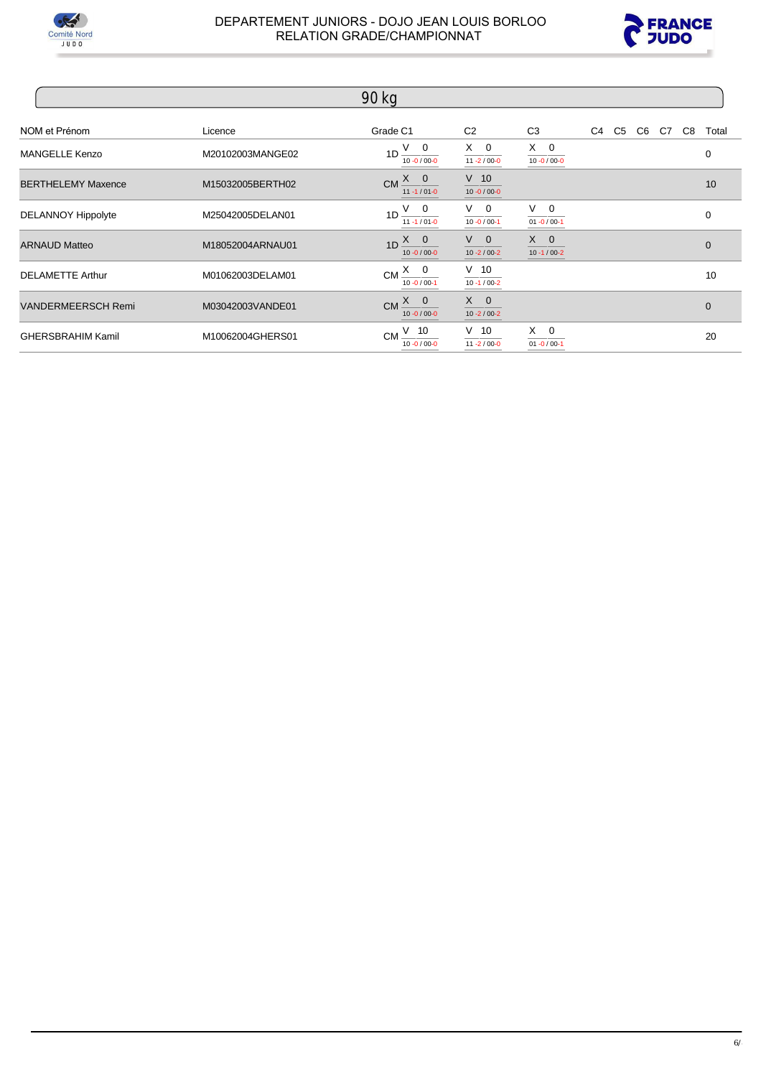



|                           |                  | 90 kg                                       |                                  |                                  |  |  |                      |
|---------------------------|------------------|---------------------------------------------|----------------------------------|----------------------------------|--|--|----------------------|
| NOM et Prénom             | Licence          | Grade C1                                    | C <sub>2</sub>                   | C <sub>3</sub>                   |  |  | C4 C5 C6 C7 C8 Total |
| <b>MANGELLE Kenzo</b>     | M20102003MANGE02 | $1D \frac{V}{10.0000}$                      | $X \quad 0$<br>$11 - 2 / 00 - 0$ | $X \quad 0$<br>$10 - 0 / 00 - 0$ |  |  | 0                    |
| <b>BERTHELEMY Maxence</b> | M15032005BERTH02 | $CM \xrightarrow{X} 0$<br>$11 - 1/01 - 0$   | $V$ 10<br>$10 - 0 / 00 - 0$      |                                  |  |  | 10                   |
| <b>DELANNOY Hippolyte</b> | M25042005DELAN01 | $1D \frac{V}{V}$ 0<br>$11 - 1 / 01 - 0$     | $V$ 0<br>$10 - 0 / 00 - 1$       | $V \quad 0$<br>$01 - 0 / 00 - 1$ |  |  | $\mathbf 0$          |
| <b>ARNAUD Matteo</b>      | M18052004ARNAU01 | $1D \xrightarrow{X} 0$<br>$10 - 0 / 00 - 0$ | $V \quad 0$<br>$10 - 2 / 00 - 2$ | $X \quad 0$<br>$10 - 1 / 00 - 2$ |  |  | $\mathbf{0}$         |
| <b>DELAMETTE Arthur</b>   | M01062003DELAM01 | $CM \frac{X}{10.0} \frac{0}{100}$           | $\frac{V}{10.4/00-2}$            |                                  |  |  | 10                   |
| <b>VANDERMEERSCH Remi</b> | M03042003VANDE01 | $CM \xrightarrow{X} 0$<br>$10 - 0 / 00 - 0$ | $X \quad 0$<br>$10 - 2 / 00 - 2$ |                                  |  |  | $\mathbf{0}$         |
| <b>GHERSBRAHIM Kamil</b>  | M10062004GHERS01 | $CM \frac{V}{10.0} \frac{10}{10000}$        | $V$ 10<br>$11 - 2 / 00 - 0$      | $X \quad 0$<br>$01 - 0 / 00 - 1$ |  |  | 20                   |

 $6/$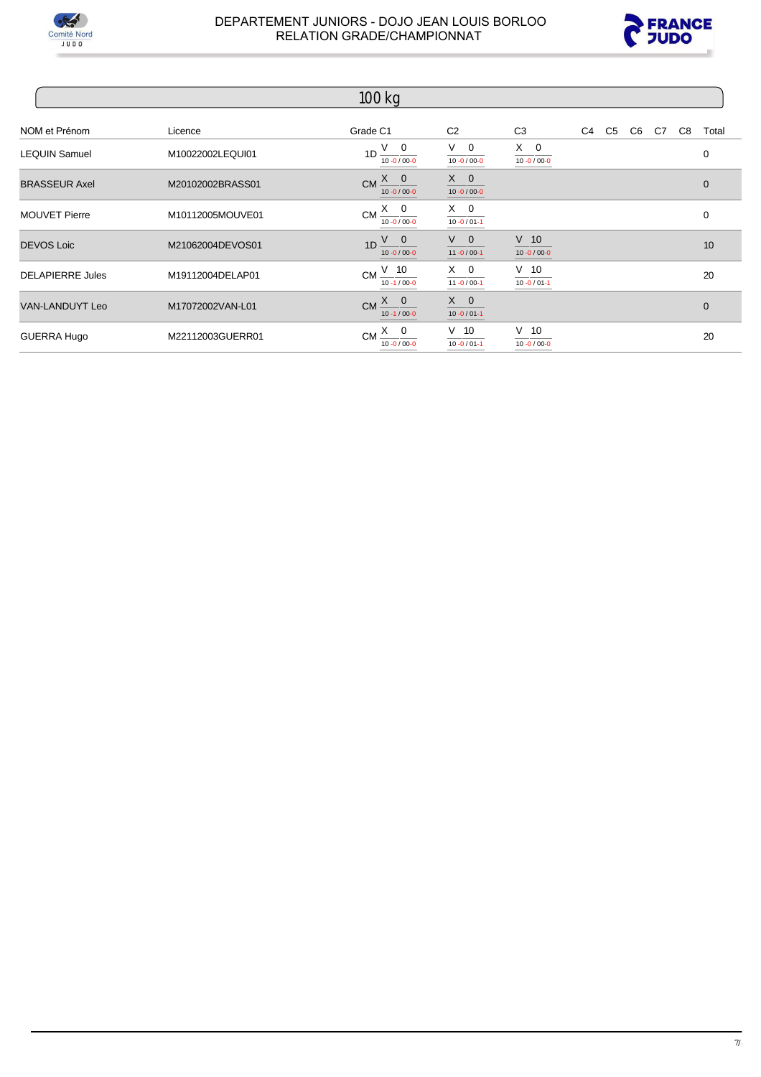



|                         |                  | $100$ kg                                      |                                  |                                  |  |                |  |              |
|-------------------------|------------------|-----------------------------------------------|----------------------------------|----------------------------------|--|----------------|--|--------------|
| NOM et Prénom           | Licence          | Grade C1                                      | C <sub>2</sub>                   | C <sub>3</sub>                   |  | C4 C5 C6 C7 C8 |  | Total        |
| <b>LEQUIN Samuel</b>    | M10022002LEQUI01 | $1D \frac{V}{10-0/00-0}$                      | $V \quad 0$<br>$10 - 0 / 00 - 0$ | $X \quad 0$<br>$10 - 0 / 00 - 0$ |  |                |  | 0            |
| <b>BRASSEUR Axel</b>    | M20102002BRASS01 | $CM \frac{X}{10 - 0/00 - 0}$                  | $X \quad 0$<br>$10 - 0 / 00 - 0$ |                                  |  |                |  | $\Omega$     |
| <b>MOUVET Pierre</b>    | M10112005MOUVE01 | $CM \xrightarrow{X} 0$<br>$10 - 0 / 00 - 0$   | $X \quad 0$<br>$10 - 0 / 01 - 1$ |                                  |  |                |  | 0            |
| <b>DEVOS Loic</b>       | M21062004DEVOS01 | $1D \frac{V}{10.0/00}$                        | $V$ 0<br>$11 - 0 / 00 - 1$       | $V$ 10<br>$10 - 0 / 00 - 0$      |  |                |  | 10           |
| <b>DELAPIERRE Jules</b> | M19112004DELAP01 | CM $\frac{V}{10.1/000}$                       | $\frac{X}{11 - 0/00-1}$          | $V$ 10<br>$10 - 0 / 01 - 1$      |  |                |  | 20           |
| <b>VAN-LANDUYT Leo</b>  | M17072002VAN-L01 | $CM \xrightarrow{X} 0$<br>$10 - 1 / 00 - 0$   | $X \quad 0$<br>$10 - 0 / 01 - 1$ |                                  |  |                |  | $\mathbf{0}$ |
| GUERRA Hugo             | M22112003GUERR01 | $CM \xrightarrow{X_0} 0$<br>$10 - 0 / 00 - 0$ | $V$ 10<br>$10 - 0 / 01 - 1$      | $V$ 10<br>$10 - 0 / 00 - 0$      |  |                |  | 20           |